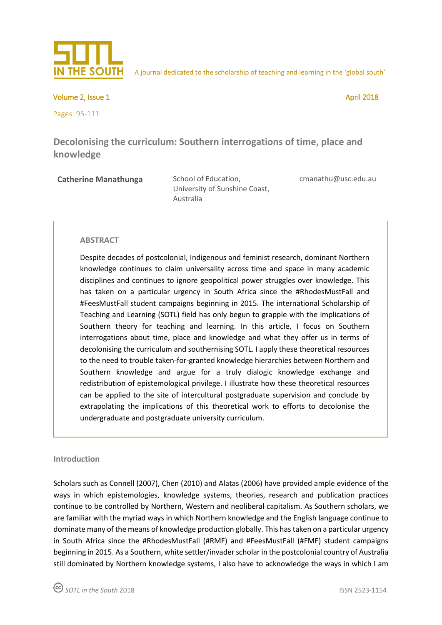

A journal dedicated to the scholarship of teaching and learning in the 'global south'

Volume 2, Issue 1 April 2018

Pages: 95-111

**Decolonising the curriculum: Southern interrogations of time, place and knowledge** 

**Catherine Manathunga** School of Education,

University of Sunshine Coast, Australia

[cmanathu@usc.edu.au](mailto:cmanathu@usc.edu.au)

### **ABSTRACT**

Despite decades of postcolonial, Indigenous and feminist research, dominant Northern knowledge continues to claim universality across time and space in many academic disciplines and continues to ignore geopolitical power struggles over knowledge. This has taken on a particular urgency in South Africa since the #RhodesMustFall and #FeesMustFall student campaigns beginning in 2015. The international Scholarship of Teaching and Learning (SOTL) field has only begun to grapple with the implications of Southern theory for teaching and learning. In this article, I focus on Southern interrogations about time, place and knowledge and what they offer us in terms of decolonising the curriculum and southernising SOTL. I apply these theoretical resources to the need to trouble taken-for-granted knowledge hierarchies between Northern and Southern knowledge and argue for a truly dialogic knowledge exchange and redistribution of epistemological privilege. I illustrate how these theoretical resources can be applied to the site of intercultural postgraduate supervision and conclude by extrapolating the implications of this theoretical work to efforts to decolonise the undergraduate and postgraduate university curriculum.

### **Introduction**

Scholars such as Connell (2007), Chen (2010) and Alatas (2006) have provided ample evidence of the ways in which epistemologies, knowledge systems, theories, research and publication practices continue to be controlled by Northern, Western and neoliberal capitalism. As Southern scholars, we are familiar with the myriad ways in which Northern knowledge and the English language continue to dominate many of the means of knowledge production globally. This has taken on a particular urgency in South Africa since the #RhodesMustFall (#RMF) and #FeesMustFall (#FMF) student campaigns beginning in 2015. As a Southern, white settler/invader scholar in the postcolonial country of Australia still dominated by Northern knowledge systems, I also have to acknowledge the ways in which I am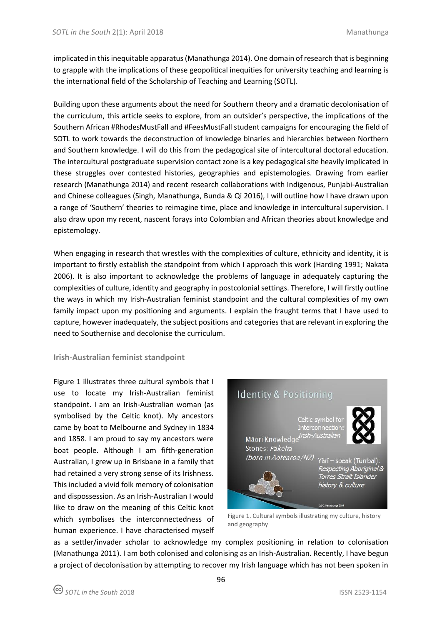implicated in this inequitable apparatus (Manathunga 2014). One domain of research that is beginning to grapple with the implications of these geopolitical inequities for university teaching and learning is the international field of the Scholarship of Teaching and Learning (SOTL).

Building upon these arguments about the need for Southern theory and a dramatic decolonisation of the curriculum, this article seeks to explore, from an outsider's perspective, the implications of the Southern African #RhodesMustFall and #FeesMustFall student campaigns for encouraging the field of SOTL to work towards the deconstruction of knowledge binaries and hierarchies between Northern and Southern knowledge. I will do this from the pedagogical site of intercultural doctoral education. The intercultural postgraduate supervision contact zone is a key pedagogical site heavily implicated in these struggles over contested histories, geographies and epistemologies. Drawing from earlier research (Manathunga 2014) and recent research collaborations with Indigenous, Punjabi-Australian and Chinese colleagues (Singh, Manathunga, Bunda & Qi 2016), I will outline how I have drawn upon a range of 'Southern' theories to reimagine time, place and knowledge in intercultural supervision. I also draw upon my recent, nascent forays into Colombian and African theories about knowledge and epistemology.

When engaging in research that wrestles with the complexities of culture, ethnicity and identity, it is important to firstly establish the standpoint from which I approach this work (Harding 1991; Nakata 2006). It is also important to acknowledge the problems of language in adequately capturing the complexities of culture, identity and geography in postcolonial settings. Therefore, I will firstly outline the ways in which my Irish-Australian feminist standpoint and the cultural complexities of my own family impact upon my positioning and arguments. I explain the fraught terms that I have used to capture, however inadequately, the subject positions and categories that are relevant in exploring the need to Southernise and decolonise the curriculum.

### **Irish-Australian feminist standpoint**

Figure 1 illustrates three cultural symbols that I use to locate my Irish-Australian feminist standpoint. I am an Irish-Australian woman (as symbolised by the Celtic knot). My ancestors came by boat to Melbourne and Sydney in 1834 and 1858. I am proud to say my ancestors were boat people. Although I am fifth-generation Australian, I grew up in Brisbane in a family that had retained a very strong sense of its Irishness. This included a vivid folk memory of colonisation and dispossession. As an Irish-Australian I would like to draw on the meaning of this Celtic knot which symbolises the interconnectedness of human experience. I have characterised myself



Figure 1. Cultural symbols illustrating my culture, history and geography

as a settler/invader scholar to acknowledge my complex positioning in relation to colonisation (Manathunga 2011). I am both colonised and colonising as an Irish-Australian. Recently, I have begun a project of decolonisation by attempting to recover my Irish language which has not been spoken in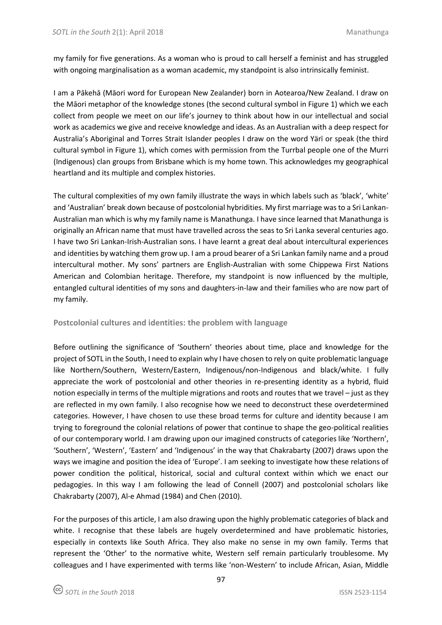my family for five generations. As a woman who is proud to call herself a feminist and has struggled with ongoing marginalisation as a woman academic, my standpoint is also intrinsically feminist.

I am a Pākehā (Māori word for European New Zealander) born in Aotearoa/New Zealand. I draw on the Māori metaphor of the knowledge stones (the second cultural symbol in Figure 1) which we each collect from people we meet on our life's journey to think about how in our intellectual and social work as academics we give and receive knowledge and ideas. As an Australian with a deep respect for Australia's Aboriginal and Torres Strait Islander peoples I draw on the word Yärï or speak (the third cultural symbol in Figure 1), which comes with permission from the Turrbal people one of the Murri (Indigenous) clan groups from Brisbane which is my home town. This acknowledges my geographical heartland and its multiple and complex histories.

The cultural complexities of my own family illustrate the ways in which labels such as 'black', 'white' and 'Australian' break down because of postcolonial hybridities. My first marriage was to a Sri Lankan-Australian man which is why my family name is Manathunga. I have since learned that Manathunga is originally an African name that must have travelled across the seas to Sri Lanka several centuries ago. I have two Sri Lankan-Irish-Australian sons. I have learnt a great deal about intercultural experiences and identities by watching them grow up. I am a proud bearer of a Sri Lankan family name and a proud intercultural mother. My sons' partners are English-Australian with some Chippewa First Nations American and Colombian heritage. Therefore, my standpoint is now influenced by the multiple, entangled cultural identities of my sons and daughters-in-law and their families who are now part of my family.

### **Postcolonial cultures and identities: the problem with language**

Before outlining the significance of 'Southern' theories about time, place and knowledge for the project of SOTL in the South, I need to explain why I have chosen to rely on quite problematic language like Northern/Southern, Western/Eastern, Indigenous/non-Indigenous and black/white. I fully appreciate the work of postcolonial and other theories in re-presenting identity as a hybrid, fluid notion especially in terms of the multiple migrations and roots and routes that we travel – just as they are reflected in my own family. I also recognise how we need to deconstruct these overdetermined categories. However, I have chosen to use these broad terms for culture and identity because I am trying to foreground the colonial relations of power that continue to shape the geo-political realities of our contemporary world. I am drawing upon our imagined constructs of categories like 'Northern', 'Southern', 'Western', 'Eastern' and 'Indigenous' in the way that Chakrabarty (2007) draws upon the ways we imagine and position the idea of 'Europe'. I am seeking to investigate how these relations of power condition the political, historical, social and cultural context within which we enact our pedagogies. In this way I am following the lead of Connell (2007) and postcolonial scholars like Chakrabarty (2007), Al-e Ahmad (1984) and Chen (2010).

For the purposes of this article, I am also drawing upon the highly problematic categories of black and white. I recognise that these labels are hugely overdetermined and have problematic histories, especially in contexts like South Africa. They also make no sense in my own family. Terms that represent the 'Other' to the normative white, Western self remain particularly troublesome. My colleagues and I have experimented with terms like 'non-Western' to include African, Asian, Middle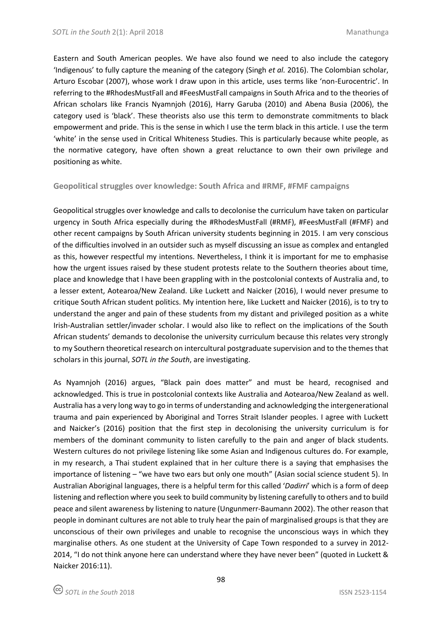Eastern and South American peoples. We have also found we need to also include the category 'Indigenous' to fully capture the meaning of the category (Singh *et al.* 2016). The Colombian scholar, Arturo Escobar (2007), whose work I draw upon in this article, uses terms like 'non-Eurocentric'. In referring to the #RhodesMustFall and #FeesMustFall campaigns in South Africa and to the theories of African scholars like Francis Nyamnjoh (2016), Harry Garuba (2010) and Abena Busia (2006), the category used is 'black'. These theorists also use this term to demonstrate commitments to black empowerment and pride. This is the sense in which I use the term black in this article. I use the term 'white' in the sense used in Critical Whiteness Studies. This is particularly because white people, as the normative category, have often shown a great reluctance to own their own privilege and positioning as white.

## **Geopolitical struggles over knowledge: South Africa and #RMF, #FMF campaigns**

Geopolitical struggles over knowledge and calls to decolonise the curriculum have taken on particular urgency in South Africa especially during the #RhodesMustFall (#RMF), #FeesMustFall (#FMF) and other recent campaigns by South African university students beginning in 2015. I am very conscious of the difficulties involved in an outsider such as myself discussing an issue as complex and entangled as this, however respectful my intentions. Nevertheless, I think it is important for me to emphasise how the urgent issues raised by these student protests relate to the Southern theories about time, place and knowledge that I have been grappling with in the postcolonial contexts of Australia and, to a lesser extent, Aotearoa/New Zealand. Like Luckett and Naicker (2016), I would never presume to critique South African student politics. My intention here, like Luckett and Naicker (2016), is to try to understand the anger and pain of these students from my distant and privileged position as a white Irish-Australian settler/invader scholar. I would also like to reflect on the implications of the South African students' demands to decolonise the university curriculum because this relates very strongly to my Southern theoretical research on intercultural postgraduate supervision and to the themes that scholars in this journal, *SOTL in the South*, are investigating.

As Nyamnjoh (2016) argues, "Black pain does matter" and must be heard, recognised and acknowledged. This is true in postcolonial contexts like Australia and Aotearoa/New Zealand as well. Australia has a very long way to go in terms of understanding and acknowledging the intergenerational trauma and pain experienced by Aboriginal and Torres Strait Islander peoples. I agree with Luckett and Naicker's (2016) position that the first step in decolonising the university curriculum is for members of the dominant community to listen carefully to the pain and anger of black students. Western cultures do not privilege listening like some Asian and Indigenous cultures do. For example, in my research, a Thai student explained that in her culture there is a saying that emphasises the importance of listening – "we have two ears but only one mouth" (Asian social science student 5). In Australian Aboriginal languages, there is a helpful term for this called '*Dadirri*' which is a form of deep listening and reflection where you seek to build community by listening carefully to others and to build peace and silent awareness by listening to nature (Ungunmerr-Baumann 2002). The other reason that people in dominant cultures are not able to truly hear the pain of marginalised groups is that they are unconscious of their own privileges and unable to recognise the unconscious ways in which they marginalise others. As one student at the University of Cape Town responded to a survey in 2012- 2014, "I do not think anyone here can understand where they have never been" (quoted in Luckett & Naicker 2016:11).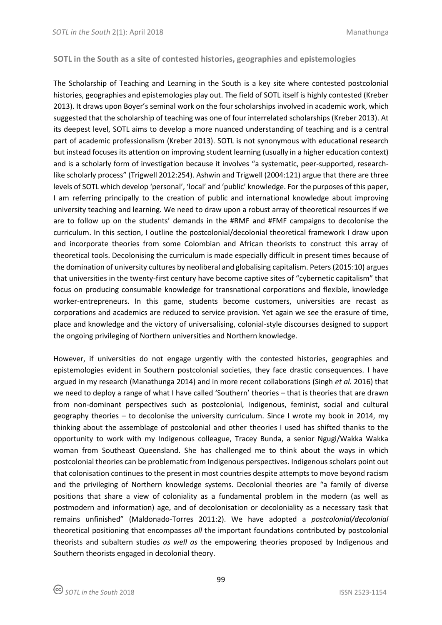### **SOTL in the South as a site of contested histories, geographies and epistemologies**

The Scholarship of Teaching and Learning in the South is a key site where contested postcolonial histories, geographies and epistemologies play out. The field of SOTL itself is highly contested (Kreber 2013). It draws upon Boyer's seminal work on the four scholarships involved in academic work, which suggested that the scholarship of teaching was one of four interrelated scholarships (Kreber 2013). At its deepest level, SOTL aims to develop a more nuanced understanding of teaching and is a central part of academic professionalism (Kreber 2013). SOTL is not synonymous with educational research but instead focuses its attention on improving student learning (usually in a higher education context) and is a scholarly form of investigation because it involves "a systematic, peer-supported, researchlike scholarly process" (Trigwell 2012:254). Ashwin and Trigwell (2004:121) argue that there are three levels of SOTL which develop 'personal', 'local' and 'public' knowledge. For the purposes of this paper, I am referring principally to the creation of public and international knowledge about improving university teaching and learning. We need to draw upon a robust array of theoretical resources if we are to follow up on the students' demands in the #RMF and #FMF campaigns to decolonise the curriculum. In this section, I outline the postcolonial/decolonial theoretical framework I draw upon and incorporate theories from some Colombian and African theorists to construct this array of theoretical tools. Decolonising the curriculum is made especially difficult in present times because of the domination of university cultures by neoliberal and globalising capitalism. Peters (2015:10) argues that universities in the twenty-first century have become captive sites of "cybernetic capitalism" that focus on producing consumable knowledge for transnational corporations and flexible, knowledge worker-entrepreneurs. In this game, students become customers, universities are recast as corporations and academics are reduced to service provision. Yet again we see the erasure of time, place and knowledge and the victory of universalising, colonial-style discourses designed to support the ongoing privileging of Northern universities and Northern knowledge.

However, if universities do not engage urgently with the contested histories, geographies and epistemologies evident in Southern postcolonial societies, they face drastic consequences. I have argued in my research (Manathunga 2014) and in more recent collaborations (Singh *et al.* 2016) that we need to deploy a range of what I have called 'Southern' theories – that is theories that are drawn from non-dominant perspectives such as postcolonial, Indigenous, feminist, social and cultural geography theories – to decolonise the university curriculum. Since I wrote my book in 2014, my thinking about the assemblage of postcolonial and other theories I used has shifted thanks to the opportunity to work with my Indigenous colleague, Tracey Bunda, a senior Ngugi/Wakka Wakka woman from Southeast Queensland. She has challenged me to think about the ways in which postcolonial theories can be problematic from Indigenous perspectives. Indigenous scholars point out that colonisation continues to the present in most countries despite attempts to move beyond racism and the privileging of Northern knowledge systems. Decolonial theories are "a family of diverse positions that share a view of coloniality as a fundamental problem in the modern (as well as postmodern and information) age, and of decolonisation or decoloniality as a necessary task that remains unfinished" (Maldonado-Torres 2011:2). We have adopted a *postcolonial/decolonial* theoretical positioning that encompasses *all* the important foundations contributed by postcolonial theorists and subaltern studies *as well as* the empowering theories proposed by Indigenous and Southern theorists engaged in decolonial theory.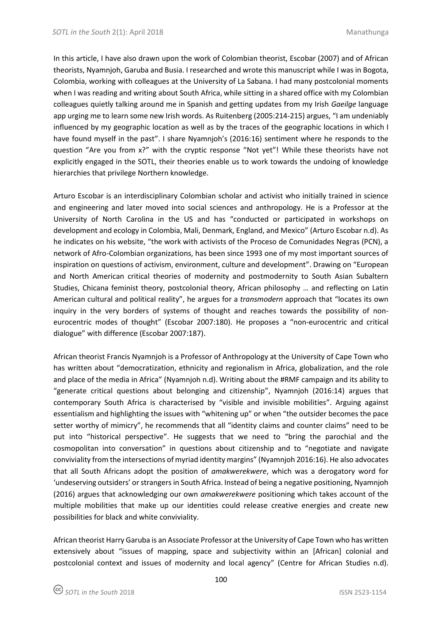In this article, I have also drawn upon the work of Colombian theorist, Escobar (2007) and of African theorists, Nyamnjoh, Garuba and Busia. I researched and wrote this manuscript while I was in Bogota, Colombia, working with colleagues at the University of La Sabana. I had many postcolonial moments when I was reading and writing about South Africa, while sitting in a shared office with my Colombian colleagues quietly talking around me in Spanish and getting updates from my Irish *Gaeilge* language app urging me to learn some new Irish words. As Ruitenberg (2005:214-215) argues, "I am undeniably influenced by my geographic location as well as by the traces of the geographic locations in which I have found myself in the past". I share Nyamnjoh's (2016:16) sentiment where he responds to the question "Are you from x?" with the cryptic response "Not yet"! While these theorists have not explicitly engaged in the SOTL, their theories enable us to work towards the undoing of knowledge hierarchies that privilege Northern knowledge.

Arturo Escobar is an interdisciplinary Colombian scholar and activist who initially trained in science and engineering and later moved into social sciences and anthropology. He is a Professor at the University of North Carolina in the US and has "conducted or participated in workshops on development and ecology in Colombia, Mali, Denmark, England, and Mexico" (Arturo Escobar n.d). As he indicates on his website, "the work with activists of the Proceso de Comunidades Negras (PCN), a network of Afro-Colombian organizations, has been since 1993 one of my most important sources of inspiration on questions of activism, environment, culture and development". Drawing on "European and North American critical theories of modernity and postmodernity to South Asian Subaltern Studies, Chicana feminist theory, postcolonial theory, African philosophy … and reflecting on Latin American cultural and political reality", he argues for a *transmodern* approach that "locates its own inquiry in the very borders of systems of thought and reaches towards the possibility of noneurocentric modes of thought" (Escobar 2007:180). He proposes a "non-eurocentric and critical dialogue" with difference (Escobar 2007:187).

African theorist Francis Nyamnjoh is a Professor of Anthropology at the University of Cape Town who has written about "democratization, ethnicity and regionalism in Africa, globalization, and the role and place of the media in Africa" (Nyamnjoh n.d). Writing about the #RMF campaign and its ability to "generate critical questions about belonging and citizenship", Nyamnjoh (2016:14) argues that contemporary South Africa is characterised by "visible and invisible mobilities". Arguing against essentialism and highlighting the issues with "whitening up" or when "the outsider becomes the pace setter worthy of mimicry", he recommends that all "identity claims and counter claims" need to be put into "historical perspective". He suggests that we need to "bring the parochial and the cosmopolitan into conversation" in questions about citizenship and to "negotiate and navigate conviviality from the intersections of myriad identity margins" (Nyamnjoh 2016:16). He also advocates that all South Africans adopt the position of *amakwerekwere*, which was a derogatory word for 'undeserving outsiders' or strangers in South Africa. Instead of being a negative positioning, Nyamnjoh (2016) argues that acknowledging our own *amakwerekwere* positioning which takes account of the multiple mobilities that make up our identities could release creative energies and create new possibilities for black and white conviviality.

African theorist Harry Garuba is an Associate Professor at the University of Cape Town who has written extensively about "issues of mapping, space and subjectivity within an [African] colonial and postcolonial context and issues of modernity and local agency" (Centre for African Studies n.d).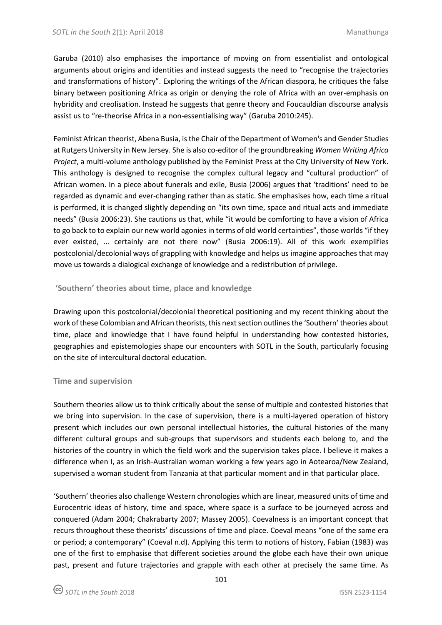Garuba (2010) also emphasises the importance of moving on from essentialist and ontological arguments about origins and identities and instead suggests the need to "recognise the trajectories and transformations of history". Exploring the writings of the African diaspora, he critiques the false binary between positioning Africa as origin or denying the role of Africa with an over-emphasis on hybridity and creolisation. Instead he suggests that genre theory and Foucauldian discourse analysis assist us to "re-theorise Africa in a non-essentialising way" (Garuba 2010:245).

Feminist African theorist, Abena Busia, is the Chair of the Department of Women's and Gender Studies at Rutgers University in New Jersey. She is also co-editor of the groundbreaking *Women Writing Africa Project*, a multi-volume anthology published by the Feminist Press at the City University of New York. This anthology is designed to recognise the complex cultural legacy and "cultural production" of African women. In a piece about funerals and exile, Busia (2006) argues that 'traditions' need to be regarded as dynamic and ever-changing rather than as static. She emphasises how, each time a ritual is performed, it is changed slightly depending on "its own time, space and ritual acts and immediate needs" (Busia 2006:23). She cautions us that, while "it would be comforting to have a vision of Africa to go back to to explain our new world agonies in terms of old world certainties", those worlds "if they ever existed, … certainly are not there now" (Busia 2006:19). All of this work exemplifies postcolonial/decolonial ways of grappling with knowledge and helps us imagine approaches that may move us towards a dialogical exchange of knowledge and a redistribution of privilege.

## **'Southern' theories about time, place and knowledge**

Drawing upon this postcolonial/decolonial theoretical positioning and my recent thinking about the work of these Colombian and African theorists, this next section outlines the 'Southern' theories about time, place and knowledge that I have found helpful in understanding how contested histories, geographies and epistemologies shape our encounters with SOTL in the South, particularly focusing on the site of intercultural doctoral education.

### **Time and supervision**

Southern theories allow us to think critically about the sense of multiple and contested histories that we bring into supervision. In the case of supervision, there is a multi-layered operation of history present which includes our own personal intellectual histories, the cultural histories of the many different cultural groups and sub-groups that supervisors and students each belong to, and the histories of the country in which the field work and the supervision takes place. I believe it makes a difference when I, as an Irish-Australian woman working a few years ago in Aotearoa/New Zealand, supervised a woman student from Tanzania at that particular moment and in that particular place.

'Southern' theories also challenge Western chronologies which are linear, measured units of time and Eurocentric ideas of history, time and space, where space is a surface to be journeyed across and conquered (Adam 2004; Chakrabarty 2007; Massey 2005). Coevalness is an important concept that recurs throughout these theorists' discussions of time and place. Coeval means "one of the same era or period; a contemporary" (Coeval n.d). Applying this term to notions of history, Fabian (1983) was one of the first to emphasise that different societies around the globe each have their own unique past, present and future trajectories and grapple with each other at precisely the same time. As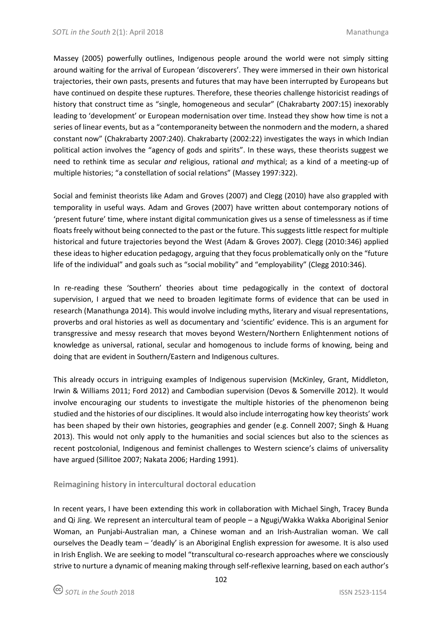Massey (2005) powerfully outlines, Indigenous people around the world were not simply sitting around waiting for the arrival of European 'discoverers'. They were immersed in their own historical trajectories, their own pasts, presents and futures that may have been interrupted by Europeans but have continued on despite these ruptures. Therefore, these theories challenge historicist readings of history that construct time as "single, homogeneous and secular" (Chakrabarty 2007:15) inexorably leading to 'development' or European modernisation over time. Instead they show how time is not a series of linear events, but as a "contemporaneity between the nonmodern and the modern, a shared constant now" (Chakrabarty 2007:240). Chakrabarty (2002:22) investigates the ways in which Indian political action involves the "agency of gods and spirits". In these ways, these theorists suggest we need to rethink time as secular *and* religious, rational *and* mythical; as a kind of a meeting-up of multiple histories; "a constellation of social relations" (Massey 1997:322).

Social and feminist theorists like Adam and Groves (2007) and Clegg (2010) have also grappled with temporality in useful ways. Adam and Groves (2007) have written about contemporary notions of 'present future' time, where instant digital communication gives us a sense of timelessness as if time floats freely without being connected to the past or the future. This suggests little respect for multiple historical and future trajectories beyond the West (Adam & Groves 2007). Clegg (2010:346) applied these ideas to higher education pedagogy, arguing that they focus problematically only on the "future life of the individual" and goals such as "social mobility" and "employability" (Clegg 2010:346).

In re-reading these 'Southern' theories about time pedagogically in the context of doctoral supervision, I argued that we need to broaden legitimate forms of evidence that can be used in research (Manathunga 2014). This would involve including myths, literary and visual representations, proverbs and oral histories as well as documentary and 'scientific' evidence. This is an argument for transgressive and messy research that moves beyond Western/Northern Enlightenment notions of knowledge as universal, rational, secular and homogenous to include forms of knowing, being and doing that are evident in Southern/Eastern and Indigenous cultures.

This already occurs in intriguing examples of Indigenous supervision (McKinley, Grant, Middleton, Irwin & Williams 2011; Ford 2012) and Cambodian supervision (Devos & Somerville 2012). It would involve encouraging our students to investigate the multiple histories of the phenomenon being studied and the histories of our disciplines. It would also include interrogating how key theorists' work has been shaped by their own histories, geographies and gender (e.g. Connell 2007; Singh & Huang 2013). This would not only apply to the humanities and social sciences but also to the sciences as recent postcolonial, Indigenous and feminist challenges to Western science's claims of universality have argued (Sillitoe 2007; Nakata 2006; Harding 1991).

# **Reimagining history in intercultural doctoral education**

In recent years, I have been extending this work in collaboration with Michael Singh, Tracey Bunda and Qi Jing. We represent an intercultural team of people – a Ngugi/Wakka Wakka Aboriginal Senior Woman, an Punjabi-Australian man, a Chinese woman and an Irish-Australian woman. We call ourselves the Deadly team – 'deadly' is an Aboriginal English expression for awesome. It is also used in Irish English. We are seeking to model "transcultural co-research approaches where we consciously strive to nurture a dynamic of meaning making through self-reflexive learning, based on each author's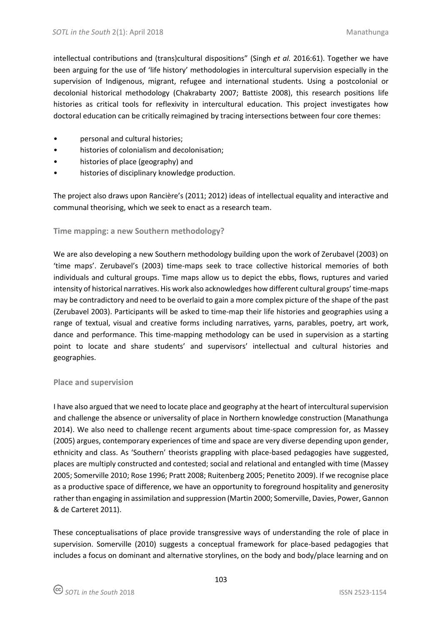intellectual contributions and (trans)cultural dispositions" (Singh *et al.* 2016:61). Together we have been arguing for the use of 'life history' methodologies in intercultural supervision especially in the supervision of Indigenous, migrant, refugee and international students. Using a postcolonial or decolonial historical methodology (Chakrabarty 2007; Battiste 2008), this research positions life histories as critical tools for reflexivity in intercultural education. This project investigates how doctoral education can be critically reimagined by tracing intersections between four core themes:

- personal and cultural histories;
- histories of colonialism and decolonisation;
- histories of place (geography) and
- histories of disciplinary knowledge production.

The project also draws upon Rancière's (2011; 2012) ideas of intellectual equality and interactive and communal theorising, which we seek to enact as a research team.

## **Time mapping: a new Southern methodology?**

We are also developing a new Southern methodology building upon the work of Zerubavel (2003) on 'time maps'. Zerubavel's (2003) time-maps seek to trace collective historical memories of both individuals and cultural groups. Time maps allow us to depict the ebbs, flows, ruptures and varied intensity of historical narratives. His work also acknowledges how different cultural groups' time-maps may be contradictory and need to be overlaid to gain a more complex picture of the shape of the past (Zerubavel 2003). Participants will be asked to time-map their life histories and geographies using a range of textual, visual and creative forms including narratives, yarns, parables, poetry, art work, dance and performance. This time-mapping methodology can be used in supervision as a starting point to locate and share students' and supervisors' intellectual and cultural histories and geographies.

### **Place and supervision**

I have also argued that we need to locate place and geography at the heart of intercultural supervision and challenge the absence or universality of place in Northern knowledge construction (Manathunga 2014). We also need to challenge recent arguments about time-space compression for, as Massey (2005) argues, contemporary experiences of time and space are very diverse depending upon gender, ethnicity and class. As 'Southern' theorists grappling with place-based pedagogies have suggested, places are multiply constructed and contested; social and relational and entangled with time (Massey 2005; Somerville 2010; Rose 1996; Pratt 2008; Ruitenberg 2005; Penetito 2009). If we recognise place as a productive space of difference, we have an opportunity to foreground hospitality and generosity rather than engaging in assimilation and suppression (Martin 2000; Somerville, Davies, Power, Gannon & de Carteret 2011).

These conceptualisations of place provide transgressive ways of understanding the role of place in supervision. Somerville (2010) suggests a conceptual framework for place-based pedagogies that includes a focus on dominant and alternative storylines, on the body and body/place learning and on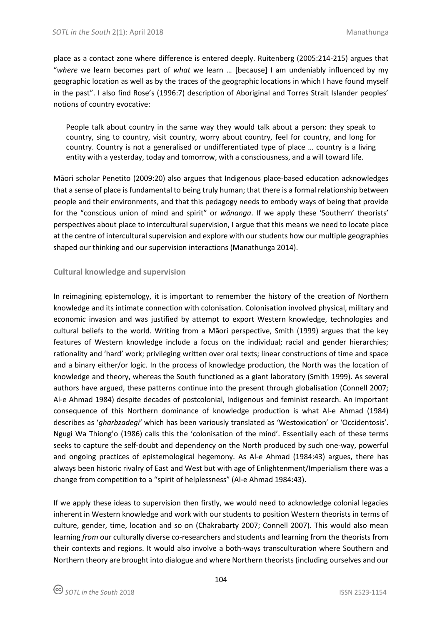place as a contact zone where difference is entered deeply. Ruitenberg (2005:214-215) argues that "*where* we learn becomes part of *what* we learn … [because] I am undeniably influenced by my geographic location as well as by the traces of the geographic locations in which I have found myself in the past". I also find Rose's (1996:7) description of Aboriginal and Torres Strait Islander peoples' notions of country evocative:

People talk about country in the same way they would talk about a person: they speak to country, sing to country, visit country, worry about country, feel for country, and long for country. Country is not a generalised or undifferentiated type of place … country is a living entity with a yesterday, today and tomorrow, with a consciousness, and a will toward life.

Māori scholar Penetito (2009:20) also argues that Indigenous place-based education acknowledges that a sense of place is fundamental to being truly human; that there is a formal relationship between people and their environments, and that this pedagogy needs to embody ways of being that provide for the "conscious union of mind and spirit" or *wānanga*. If we apply these 'Southern' theorists' perspectives about place to intercultural supervision, I argue that this means we need to locate place at the centre of intercultural supervision and explore with our students how our multiple geographies shaped our thinking and our supervision interactions (Manathunga 2014).

# **Cultural knowledge and supervision**

In reimagining epistemology, it is important to remember the history of the creation of Northern knowledge and its intimate connection with colonisation. Colonisation involved physical, military and economic invasion and was justified by attempt to export Western knowledge, technologies and cultural beliefs to the world. Writing from a Māori perspective, Smith (1999) argues that the key features of Western knowledge include a focus on the individual; racial and gender hierarchies; rationality and 'hard' work; privileging written over oral texts; linear constructions of time and space and a binary either/or logic. In the process of knowledge production, the North was the location of knowledge and theory, whereas the South functioned as a giant laboratory (Smith 1999). As several authors have argued, these patterns continue into the present through globalisation (Connell 2007; Al-e Ahmad 1984) despite decades of postcolonial, Indigenous and feminist research. An important consequence of this Northern dominance of knowledge production is what Al-e Ahmad (1984) describes as '*gharbzadegi'* which has been variously translated as 'Westoxication' or 'Occidentosis'. Ngugi Wa Thiong'o (1986) calls this the 'colonisation of the mind'. Essentially each of these terms seeks to capture the self-doubt and dependency on the North produced by such one-way, powerful and ongoing practices of epistemological hegemony. As Al-e Ahmad (1984:43) argues, there has always been historic rivalry of East and West but with age of Enlightenment/Imperialism there was a change from competition to a "spirit of helplessness" (Al-e Ahmad 1984:43).

If we apply these ideas to supervision then firstly, we would need to acknowledge colonial legacies inherent in Western knowledge and work with our students to position Western theorists in terms of culture, gender, time, location and so on (Chakrabarty 2007; Connell 2007). This would also mean learning *from* our culturally diverse co-researchers and students and learning from the theorists from their contexts and regions. It would also involve a both-ways transculturation where Southern and Northern theory are brought into dialogue and where Northern theorists (including ourselves and our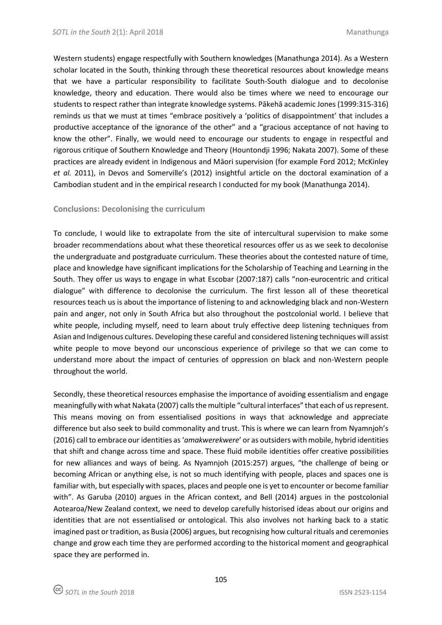Western students) engage respectfully with Southern knowledges (Manathunga 2014). As a Western scholar located in the South, thinking through these theoretical resources about knowledge means that we have a particular responsibility to facilitate South-South dialogue and to decolonise knowledge, theory and education. There would also be times where we need to encourage our students to respect rather than integrate knowledge systems. Pākehā academic Jones (1999:315-316) reminds us that we must at times "embrace positively a 'politics of disappointment' that includes a productive acceptance of the ignorance of the other" and a "gracious acceptance of not having to know the other". Finally, we would need to encourage our students to engage in respectful and rigorous critique of Southern Knowledge and Theory (Hountondji 1996; Nakata 2007). Some of these practices are already evident in Indigenous and Māori supervision (for example Ford 2012; McKinley *et al.* 2011), in Devos and Somerville's (2012) insightful article on the doctoral examination of a Cambodian student and in the empirical research I conducted for my book (Manathunga 2014).

## **Conclusions: Decolonising the curriculum**

To conclude, I would like to extrapolate from the site of intercultural supervision to make some broader recommendations about what these theoretical resources offer us as we seek to decolonise the undergraduate and postgraduate curriculum. These theories about the contested nature of time, place and knowledge have significant implications for the Scholarship of Teaching and Learning in the South. They offer us ways to engage in what Escobar (2007:187) calls "non-eurocentric and critical dialogue" with difference to decolonise the curriculum. The first lesson all of these theoretical resources teach us is about the importance of listening to and acknowledging black and non-Western pain and anger, not only in South Africa but also throughout the postcolonial world. I believe that white people, including myself, need to learn about truly effective deep listening techniques from Asian and Indigenous cultures. Developing these careful and considered listening techniques will assist white people to move beyond our unconscious experience of privilege so that we can come to understand more about the impact of centuries of oppression on black and non-Western people throughout the world.

Secondly, these theoretical resources emphasise the importance of avoiding essentialism and engage meaningfully with what Nakata (2007) calls the multiple "cultural interfaces" that each of us represent. This means moving on from essentialised positions in ways that acknowledge and appreciate difference but also seek to build commonality and trust. This is where we can learn from Nyamnjoh's (2016) call to embrace our identities as '*amakwerekwere*' or as outsiders with mobile, hybrid identities that shift and change across time and space. These fluid mobile identities offer creative possibilities for new alliances and ways of being. As Nyamnjoh (2015:257) argues, "the challenge of being or becoming African or anything else, is not so much identifying with people, places and spaces one is familiar with, but especially with spaces, places and people one is yet to encounter or become familiar with". As Garuba (2010) argues in the African context, and Bell (2014) argues in the postcolonial Aotearoa/New Zealand context, we need to develop carefully historised ideas about our origins and identities that are not essentialised or ontological. This also involves not harking back to a static imagined past or tradition, as Busia (2006) argues, but recognising how cultural rituals and ceremonies change and grow each time they are performed according to the historical moment and geographical space they are performed in.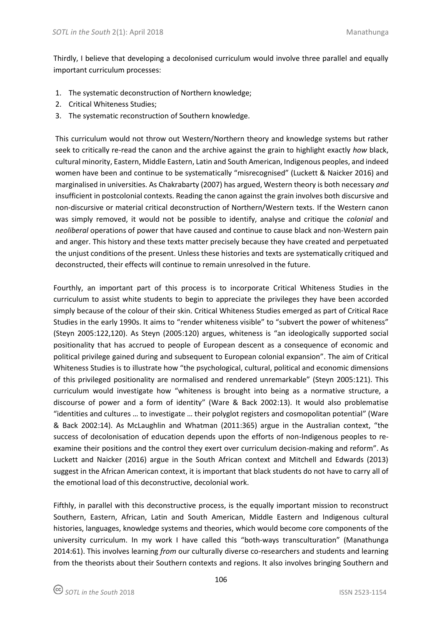Thirdly, I believe that developing a decolonised curriculum would involve three parallel and equally important curriculum processes:

- 1. The systematic deconstruction of Northern knowledge;
- 2. Critical Whiteness Studies;
- 3. The systematic reconstruction of Southern knowledge.

This curriculum would not throw out Western/Northern theory and knowledge systems but rather seek to critically re-read the canon and the archive against the grain to highlight exactly *how* black, cultural minority, Eastern, Middle Eastern, Latin and South American, Indigenous peoples, and indeed women have been and continue to be systematically "misrecognised" (Luckett & Naicker 2016) and marginalised in universities. As Chakrabarty (2007) has argued, Western theory is both necessary *and* insufficient in postcolonial contexts. Reading the canon against the grain involves both discursive and non-discursive or material critical deconstruction of Northern/Western texts. If the Western canon was simply removed, it would not be possible to identify, analyse and critique the *colonial* and *neoliberal* operations of power that have caused and continue to cause black and non-Western pain and anger. This history and these texts matter precisely because they have created and perpetuated the unjust conditions of the present. Unless these histories and texts are systematically critiqued and deconstructed, their effects will continue to remain unresolved in the future.

Fourthly, an important part of this process is to incorporate Critical Whiteness Studies in the curriculum to assist white students to begin to appreciate the privileges they have been accorded simply because of the colour of their skin. Critical Whiteness Studies emerged as part of Critical Race Studies in the early 1990s. It aims to "render whiteness visible" to "subvert the power of whiteness" (Steyn 2005:122,120). As Steyn (2005:120) argues, whiteness is "an ideologically supported social positionality that has accrued to people of European descent as a consequence of economic and political privilege gained during and subsequent to European colonial expansion". The aim of Critical Whiteness Studies is to illustrate how "the psychological, cultural, political and economic dimensions of this privileged positionality are normalised and rendered unremarkable" (Steyn 2005:121). This curriculum would investigate how "whiteness is brought into being as a normative structure, a discourse of power and a form of identity" (Ware & Back 2002:13). It would also problematise "identities and cultures … to investigate … their polyglot registers and cosmopolitan potential" (Ware & Back 2002:14). As McLaughlin and Whatman (2011:365) argue in the Australian context, "the success of decolonisation of education depends upon the efforts of non-Indigenous peoples to reexamine their positions and the control they exert over curriculum decision-making and reform". As Luckett and Naicker (2016) argue in the South African context and Mitchell and Edwards (2013) suggest in the African American context, it is important that black students do not have to carry all of the emotional load of this deconstructive, decolonial work.

Fifthly, in parallel with this deconstructive process, is the equally important mission to reconstruct Southern, Eastern, African, Latin and South American, Middle Eastern and Indigenous cultural histories, languages, knowledge systems and theories, which would become core components of the university curriculum. In my work I have called this "both-ways transculturation" (Manathunga 2014:61). This involves learning *from* our culturally diverse co-researchers and students and learning from the theorists about their Southern contexts and regions. It also involves bringing Southern and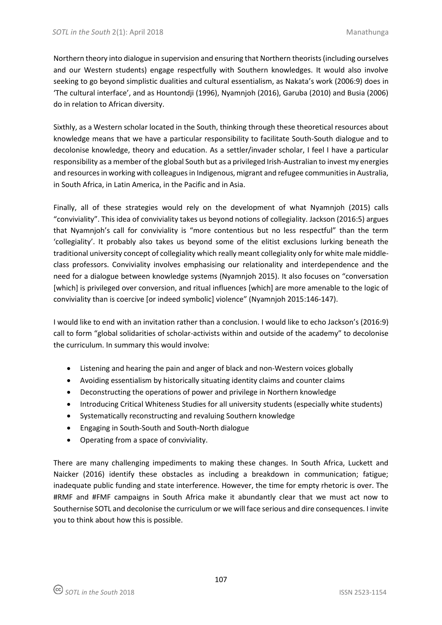Northern theory into dialogue in supervision and ensuring that Northern theorists (including ourselves and our Western students) engage respectfully with Southern knowledges. It would also involve seeking to go beyond simplistic dualities and cultural essentialism, as Nakata's work (2006:9) does in 'The cultural interface', and as Hountondji (1996), Nyamnjoh (2016), Garuba (2010) and Busia (2006) do in relation to African diversity.

Sixthly, as a Western scholar located in the South, thinking through these theoretical resources about knowledge means that we have a particular responsibility to facilitate South-South dialogue and to decolonise knowledge, theory and education. As a settler/invader scholar, I feel I have a particular responsibility as a member of the global South but as a privileged Irish-Australian to invest my energies and resources in working with colleagues in Indigenous, migrant and refugee communities in Australia, in South Africa, in Latin America, in the Pacific and in Asia.

Finally, all of these strategies would rely on the development of what Nyamnjoh (2015) calls "conviviality". This idea of conviviality takes us beyond notions of collegiality. Jackson (2016:5) argues that Nyamnjoh's call for conviviality is "more contentious but no less respectful" than the term 'collegiality'. It probably also takes us beyond some of the elitist exclusions lurking beneath the traditional university concept of collegiality which really meant collegiality only for white male middleclass professors. Conviviality involves emphasising our relationality and interdependence and the need for a dialogue between knowledge systems (Nyamnjoh 2015). It also focuses on "conversation [which] is privileged over conversion, and ritual influences [which] are more amenable to the logic of conviviality than is coercive [or indeed symbolic] violence" (Nyamnjoh 2015:146-147).

I would like to end with an invitation rather than a conclusion. I would like to echo Jackson's (2016:9) call to form "global solidarities of scholar-activists within and outside of the academy" to decolonise the curriculum. In summary this would involve:

- Listening and hearing the pain and anger of black and non-Western voices globally
- Avoiding essentialism by historically situating identity claims and counter claims
- Deconstructing the operations of power and privilege in Northern knowledge
- Introducing Critical Whiteness Studies for all university students (especially white students)
- Systematically reconstructing and revaluing Southern knowledge
- Engaging in South-South and South-North dialogue
- Operating from a space of conviviality.

There are many challenging impediments to making these changes. In South Africa, Luckett and Naicker (2016) identify these obstacles as including a breakdown in communication; fatigue; inadequate public funding and state interference. However, the time for empty rhetoric is over. The #RMF and #FMF campaigns in South Africa make it abundantly clear that we must act now to Southernise SOTL and decolonise the curriculum or we will face serious and dire consequences. I invite you to think about how this is possible.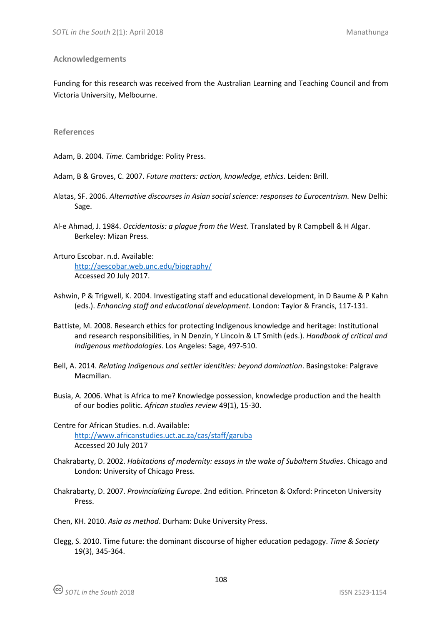### **Acknowledgements**

Funding for this research was received from the Australian Learning and Teaching Council and from Victoria University, Melbourne.

#### **References**

Adam, B. 2004. *Time*. Cambridge: Polity Press.

- Adam, B & Groves, C. 2007. *Future matters: action, knowledge, ethics*. Leiden: Brill.
- Alatas, SF. 2006. *Alternative discourses in Asian social science: responses to Eurocentrism.* New Delhi: Sage.
- Al-e Ahmad, J. 1984. *Occidentosis: a plague from the West.* Translated by R Campbell & H Algar. Berkeley: Mizan Press.
- Arturo Escobar. n.d. Available: <http://aescobar.web.unc.edu/biography/> Accessed 20 July 2017.
- Ashwin, P & Trigwell, K. 2004. Investigating staff and educational development, in D Baume & P Kahn (eds.). *Enhancing staff and educational development.* London: Taylor & Francis, 117-131.
- Battiste, M. 2008. Research ethics for protecting Indigenous knowledge and heritage: Institutional and research responsibilities, in N Denzin, Y Lincoln & LT Smith (eds.). *Handbook of critical and Indigenous methodologies*. Los Angeles: Sage, 497-510.
- Bell, A. 2014. *Relating Indigenous and settler identities: beyond domination*. Basingstoke: Palgrave Macmillan.
- Busia, A. 2006. What is Africa to me? Knowledge possession, knowledge production and the health of our bodies politic. *African studies review* 49(1), 15-30.
- Centre for African Studies. n.d. Available: <http://www.africanstudies.uct.ac.za/cas/staff/garuba> Accessed 20 July 2017
- Chakrabarty, D. 2002. *Habitations of modernity: essays in the wake of Subaltern Studies*. Chicago and London: University of Chicago Press.
- Chakrabarty, D. 2007. *Provincializing Europe*. 2nd edition. Princeton & Oxford: Princeton University Press.
- Chen, KH. 2010. *Asia as method*. Durham: Duke University Press.
- Clegg, S. 2010. Time future: the dominant discourse of higher education pedagogy. *Time & Society* 19(3), 345-364.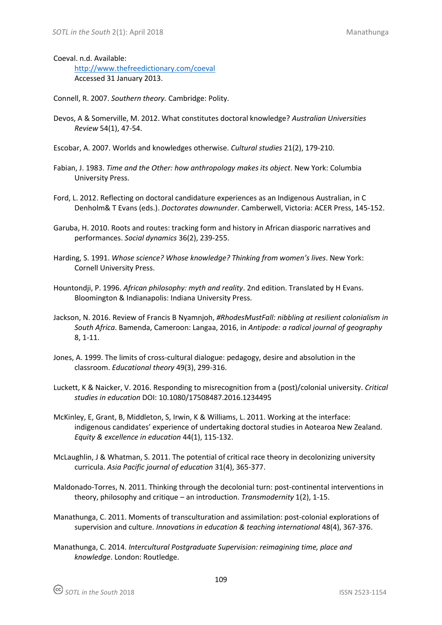Coeval. n.d. Available:

<http://www.thefreedictionary.com/coeval> Accessed 31 January 2013.

Connell, R. 2007. *Southern theory.* Cambridge: Polity.

- Devos, A & Somerville, M. 2012. What constitutes doctoral knowledge? *Australian Universities Review* 54(1), 47-54.
- Escobar, A. 2007. Worlds and knowledges otherwise. *Cultural studies* 21(2), 179-210.
- Fabian, J. 1983. *Time and the Other: how anthropology makes its object*. New York: Columbia University Press.
- Ford, L. 2012. Reflecting on doctoral candidature experiences as an Indigenous Australian, in C Denholm& T Evans (eds.). *Doctorates downunder*. Camberwell, Victoria: ACER Press, 145-152.
- Garuba, H. 2010. Roots and routes: tracking form and history in African diasporic narratives and performances. *Social dynamics* 36(2), 239-255.
- Harding, S. 1991. *Whose science? Whose knowledge? Thinking from women's lives*. New York: Cornell University Press.
- Hountondji, P. 1996. *African philosophy: myth and reality*. 2nd edition. Translated by H Evans. Bloomington & Indianapolis: Indiana University Press.
- Jackson, N. 2016. Review of Francis B Nyamnjoh, *#RhodesMustFall: nibbling at resilient colonialism in South Africa*. Bamenda, Cameroon: Langaa, 2016, in *Antipode: a radical journal of geography* 8, 1-11.
- Jones, A. 1999. The limits of cross-cultural dialogue: pedagogy, desire and absolution in the classroom. *Educational theory* 49(3), 299-316.
- Luckett, K & Naicker, V. 2016. Responding to misrecognition from a (post)/colonial university. *Critical studies in education* DOI: 10.1080/17508487.2016.1234495
- McKinley, E, Grant, B, Middleton, S, Irwin, K & Williams, L. 2011. Working at the interface: indigenous candidates' experience of undertaking doctoral studies in Aotearoa New Zealand. *Equity & excellence in education* 44(1), 115-132.
- McLaughlin, J & Whatman, S. 2011. The potential of critical race theory in decolonizing university curricula. *Asia Pacific journal of education* 31(4), 365-377.
- Maldonado-Torres, N. 2011. Thinking through the decolonial turn: post-continental interventions in theory, philosophy and critique – an introduction. *Transmodernity* 1(2), 1-15.
- Manathunga, C. 2011. Moments of transculturation and assimilation: post-colonial explorations of supervision and culture. *Innovations in education & teaching international* 48(4), 367-376.
- Manathunga, C. 2014. *Intercultural Postgraduate Supervision: reimagining time, place and knowledge*. London: Routledge.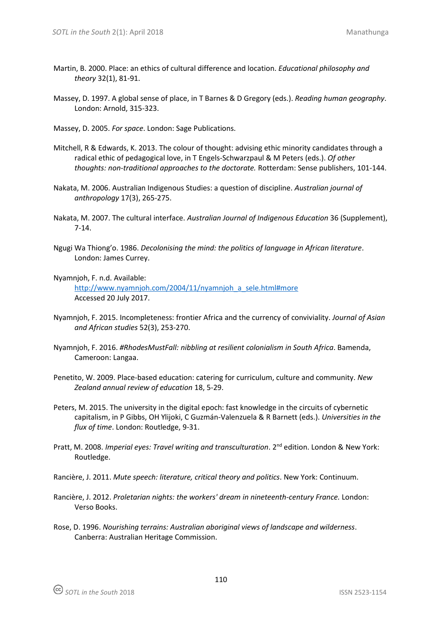- Martin, B. 2000. Place: an ethics of cultural difference and location. *Educational philosophy and theory* 32(1), 81-91.
- Massey, D. 1997. A global sense of place, in T Barnes & D Gregory (eds.). *Reading human geography*. London: Arnold, 315-323.
- Massey, D. 2005. *For space*. London: Sage Publications.
- Mitchell, R & Edwards, K. 2013. The colour of thought: advising ethic minority candidates through a radical ethic of pedagogical love, in T Engels-Schwarzpaul & M Peters (eds.). *Of other thoughts: non-traditional approaches to the doctorate.* Rotterdam: Sense publishers, 101-144.
- Nakata, M. 2006. Australian Indigenous Studies: a question of discipline. *Australian journal of anthropology* 17(3), 265-275.
- Nakata, M. 2007. The cultural interface. *Australian Journal of Indigenous Education* 36 (Supplement), 7-14.
- Ngugi Wa Thiong'o. 1986. *Decolonising the mind: the politics of language in African literature*. London: James Currey.
- Nyamnjoh, F. n.d. Available:

[http://www.nyamnjoh.com/2004/11/nyamnjoh\\_a\\_sele.html#more](http://www.nyamnjoh.com/2004/11/nyamnjoh_a_sele.html#more) Accessed 20 July 2017.

- Nyamnjoh, F. 2015. Incompleteness: frontier Africa and the currency of conviviality. *Journal of Asian and African studies* 52(3), 253-270.
- Nyamnjoh, F. 2016. *#RhodesMustFall: nibbling at resilient colonialism in South Africa*. Bamenda, Cameroon: Langaa.
- Penetito, W. 2009. Place-based education: catering for curriculum, culture and community. *New Zealand annual review of education* 18, 5-29.
- Peters, M. 2015. The university in the digital epoch: fast knowledge in the circuits of cybernetic capitalism, in P Gibbs, OH Ylijoki, C Guzmán-Valenzuela & R Barnett (eds.). *Universities in the flux of time*. London: Routledge, 9-31.
- Pratt, M. 2008. Imperial eyes: Travel writing and transculturation. 2<sup>nd</sup> edition. London & New York: Routledge.
- Rancière, J. 2011. *Mute speech: literature, critical theory and politics*. New York: Continuum.
- Rancière, J. 2012. *Proletarian nights: the workers' dream in nineteenth-century France.* London: Verso Books.
- Rose, D. 1996. *Nourishing terrains: Australian aboriginal views of landscape and wilderness*. Canberra: Australian Heritage Commission.